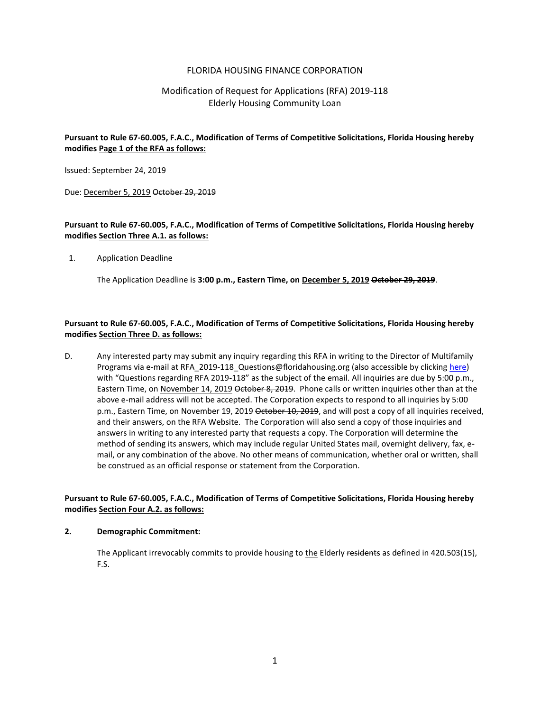### FLORIDA HOUSING FINANCE CORPORATION

# Modification of Request for Applications (RFA) 2019-118 Elderly Housing Community Loan

## **Pursuant to Rule 67-60.005, F.A.C., Modification of Terms of Competitive Solicitations, Florida Housing hereby modifies Page 1 of the RFA as follows:**

Issued: September 24, 2019

Due: December 5, 2019 October 29, 2019

## **Pursuant to Rule 67-60.005, F.A.C., Modification of Terms of Competitive Solicitations, Florida Housing hereby modifies Section Three A.1. as follows:**

1. Application Deadline

The Application Deadline is **3:00 p.m., Eastern Time, on December 5, 2019 October 29, 2019**.

# **Pursuant to Rule 67-60.005, F.A.C., Modification of Terms of Competitive Solicitations, Florida Housing hereby modifies Section Three D. as follows:**

D. Any interested party may submit any inquiry regarding this RFA in writing to the Director of Multifamily Programs via e-mail at RFA\_2019-118\_Questions@floridahousing.org (also accessible by clickin[g here\)](mailto:RFA_2019-118_Questions@floridahousing.org?subject=Questions%20regarding%20RFA%202019-118) with "Questions regarding RFA 2019-118" as the subject of the email. All inquiries are due by 5:00 p.m., Eastern Time, on November 14, 2019 October 8, 2019. Phone calls or written inquiries other than at the above e-mail address will not be accepted. The Corporation expects to respond to all inquiries by 5:00 p.m., Eastern Time, on November 19, 2019 October 10, 2019, and will post a copy of all inquiries received, and their answers, on the RFA Website. The Corporation will also send a copy of those inquiries and answers in writing to any interested party that requests a copy. The Corporation will determine the method of sending its answers, which may include regular United States mail, overnight delivery, fax, email, or any combination of the above. No other means of communication, whether oral or written, shall be construed as an official response or statement from the Corporation.

#### **Pursuant to Rule 67-60.005, F.A.C., Modification of Terms of Competitive Solicitations, Florida Housing hereby modifies Section Four A.2. as follows:**

#### **2. Demographic Commitment:**

The Applicant irrevocably commits to provide housing to the Elderly residents as defined in 420.503(15), F.S.